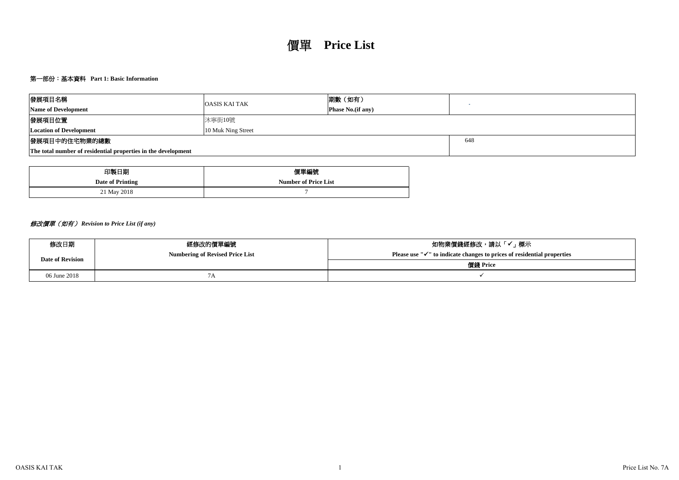# 第一部份:基本資料 **Part 1: Basic Information**

# 價單 **Price List**

| 發展項目名稱                                    |                                                               | <b>OASIS KAI TAK</b>                   | 期數(如有)            |          | $\sim$                                                                              |  |  |  |
|-------------------------------------------|---------------------------------------------------------------|----------------------------------------|-------------------|----------|-------------------------------------------------------------------------------------|--|--|--|
| Name of Development                       |                                                               |                                        | Phase No.(if any) |          |                                                                                     |  |  |  |
| 發展項目位置                                    |                                                               | 沐寧街10號                                 |                   |          |                                                                                     |  |  |  |
| <b>Location of Development</b>            |                                                               | 10 Muk Ning Street                     |                   |          |                                                                                     |  |  |  |
| 發展項目中的住宅物業的總數                             |                                                               |                                        |                   |          | 648                                                                                 |  |  |  |
|                                           | The total number of residential properties in the development |                                        |                   |          |                                                                                     |  |  |  |
|                                           |                                                               |                                        |                   |          |                                                                                     |  |  |  |
|                                           | 印製日期                                                          | 價單編號                                   |                   |          |                                                                                     |  |  |  |
|                                           | <b>Date of Printing</b>                                       | <b>Number of Price List</b>            |                   |          |                                                                                     |  |  |  |
|                                           | 21 May 2018                                                   | $\overline{7}$                         |                   |          |                                                                                     |  |  |  |
|                                           |                                                               |                                        |                   |          |                                                                                     |  |  |  |
| 修改價單 (如有) Revision to Price List (if any) |                                                               |                                        |                   |          |                                                                                     |  |  |  |
| 修改日期                                      |                                                               | 經修改的價單編號                               |                   |          | 如物業價錢經修改,請以「✔」標示                                                                    |  |  |  |
| <b>Date of Revision</b>                   |                                                               | <b>Numbering of Revised Price List</b> |                   |          | Please use " $\checkmark$ " to indicate changes to prices of residential properties |  |  |  |
|                                           |                                                               |                                        |                   | 價錢 Price |                                                                                     |  |  |  |
| 06 June 2018                              |                                                               | 7A                                     |                   |          | $\checkmark$                                                                        |  |  |  |
|                                           |                                                               |                                        |                   |          |                                                                                     |  |  |  |

| 安於快日石們                                                        | <b>OASIS KAI TAK</b>                   | 別数 \メロ′月丿                   | $\sim$                                                                              |  |
|---------------------------------------------------------------|----------------------------------------|-----------------------------|-------------------------------------------------------------------------------------|--|
| <b>Name of Development</b>                                    |                                        | <b>Phase No.(if any)</b>    |                                                                                     |  |
| 發展項目位置                                                        | 沐寧街10號                                 |                             |                                                                                     |  |
| <b>Location of Development</b>                                | 10 Muk Ning Street                     |                             |                                                                                     |  |
| 發展項目中的住宅物業的總數                                                 |                                        |                             | 648                                                                                 |  |
| The total number of residential properties in the development |                                        |                             |                                                                                     |  |
|                                                               |                                        |                             |                                                                                     |  |
| 印製日期                                                          |                                        | 價單編號                        |                                                                                     |  |
| <b>Date of Printing</b>                                       |                                        | <b>Number of Price List</b> |                                                                                     |  |
| 21 May 2018                                                   |                                        |                             |                                                                                     |  |
|                                                               |                                        |                             |                                                                                     |  |
|                                                               |                                        |                             |                                                                                     |  |
| 修改價單 (如有) Revision to Price List (if any)                     |                                        |                             |                                                                                     |  |
|                                                               |                                        |                             |                                                                                     |  |
| 修改日期                                                          | 經修改的價單編號                               |                             | 如物業價錢經修改,請以「✔」標示                                                                    |  |
|                                                               | <b>Numbering of Revised Price List</b> |                             | Please use " $\checkmark$ " to indicate changes to prices of residential properties |  |
| <b>Date of Revision</b>                                       |                                        |                             | 價錢 Price                                                                            |  |
| 06 June 2018                                                  | 7A                                     |                             | $\checkmark$                                                                        |  |
|                                                               |                                        |                             |                                                                                     |  |

| 贸展识日石冊                                    | <b>OASIS KAI TAK</b>                                          | 別数 \メロ′月丿                   | $\sim$                                                                              |
|-------------------------------------------|---------------------------------------------------------------|-----------------------------|-------------------------------------------------------------------------------------|
| Name of Development                       |                                                               | <b>Phase No.(if any)</b>    |                                                                                     |
| 發展項目位置                                    | 沐寧街10號                                                        |                             |                                                                                     |
| <b>Location of Development</b>            | 10 Muk Ning Street                                            |                             |                                                                                     |
| 發展項目中的住宅物業的總數                             |                                                               |                             | 648                                                                                 |
|                                           | The total number of residential properties in the development |                             |                                                                                     |
|                                           | 印製日期                                                          | 價單編號                        |                                                                                     |
|                                           | <b>Date of Printing</b>                                       | <b>Number of Price List</b> |                                                                                     |
|                                           | 21 May 2018                                                   |                             |                                                                                     |
| 修改價單 (如有) Revision to Price List (if any) |                                                               |                             |                                                                                     |
|                                           |                                                               |                             |                                                                                     |
| 修改日期                                      | 經修改的價單編號                                                      |                             | 如物業價錢經修改,請以「✔」標示                                                                    |
| <b>Date of Revision</b>                   | <b>Numbering of Revised Price List</b>                        |                             | Please use " $\checkmark$ " to indicate changes to prices of residential properties |
|                                           |                                                               |                             | 價錢 Price                                                                            |
| 06 June 2018                              | 7A                                                            |                             | $\checkmark$                                                                        |
|                                           |                                                               |                             |                                                                                     |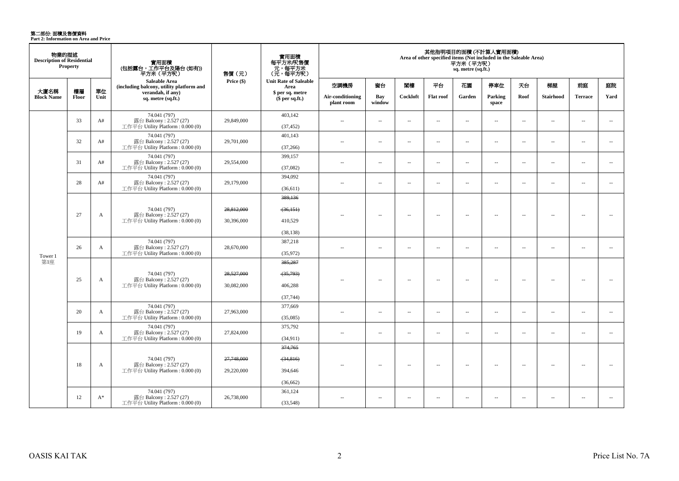**第二部份: 面積及售價資料**<br>Part 2: Information on Area and Price

| 物業的描述<br><b>Description of Residential</b> | <b>Property</b> |            | 實用面積<br>(包括露台,工作平台及陽台 (如有))<br>平方米(平方呎)                                      | 售價(元)                    | 實用面積<br>每平方米/呎售價<br>元,每平方米<br>(元,每平方呎)       |                                |                          |                          |                          | 平方米 (平方呎)<br>sq. metre (sq.ft.) | 其他指明項目的面積 (不計算入實用面積)<br>Area of other specified items (Not included in the Saleable Area) |                          |                  |                          |                          |
|--------------------------------------------|-----------------|------------|------------------------------------------------------------------------------|--------------------------|----------------------------------------------|--------------------------------|--------------------------|--------------------------|--------------------------|---------------------------------|-------------------------------------------------------------------------------------------|--------------------------|------------------|--------------------------|--------------------------|
|                                            |                 |            | <b>Saleable Area</b><br>(including balcony, utility platform and             | Price (\$)               | <b>Unit Rate of Saleable</b><br>Area         | 空調機房                           | 窗台                       | 関樓                       | 平台                       | 花園                              | 停車位                                                                                       | 天台                       | 梯屋               | 前庭                       | 庭院                       |
| 大廈名稱<br><b>Block Name</b>                  | 樓層<br>Floor     | 單位<br>Unit | verandah, if any)<br>sq. metre (sq.ft.)                                      |                          | \$ per sq. metre<br>\$per sq.ft.)            | Air-conditioning<br>plant room | Bay<br>window            | Cockloft                 | Flat roof                | Garden                          | Parking<br>space                                                                          | Roof                     | <b>Stairhood</b> | <b>Terrace</b>           | Yard                     |
|                                            | 33              | A#         | 74.041 (797)<br>露台 Balcony: 2.527 (27)<br>工作平台 Utility Platform: 0.000 (0)   | 29,849,000               | 403,142<br>(37, 452)                         | $\sim$                         | $\sim$                   | $\sim$                   | $\sim$                   | $\sim$                          | $\overline{\phantom{a}}$                                                                  | $\sim$                   | $\sim$           | $\overline{\phantom{a}}$ | $\sim$                   |
|                                            | 32              | A#         | 74.041 (797)<br>露台 Balcony: 2.527 (27)<br>工作平台 Utility Platform: 0.000 (0)   | 29,701,000               | 401,143<br>(37,266)                          | $\sim$                         | $\overline{\phantom{a}}$ | $\sim$                   | $\sim$                   | $\sim$                          | $\overline{\phantom{a}}$                                                                  | $\overline{\phantom{a}}$ | $\sim$           | $\overline{\phantom{a}}$ | $\sim$                   |
|                                            | 31              | A#         | 74.041 (797)<br>露台 Balcony: 2.527 (27)<br>工作平台 Utility Platform: 0.000 (0)   | 29,554,000               | 399,157<br>(37,082)                          | $\sim$                         | $\sim$                   | $\sim$                   | $\sim$                   | $\sim$                          | $\sim$                                                                                    | $\overline{\phantom{a}}$ | $\sim$           | $\overline{a}$           | $\overline{\phantom{a}}$ |
|                                            | 28              | A#         | 74.041 (797)<br>露台 Balcony: 2.527 (27)<br>工作平台 Utility Platform: 0.000 (0)   | 29,179,000               | 394,092<br>(36,611)                          | $\sim$ $\sim$                  | $\sim$                   | $\sim$                   | $\sim$                   | $\sim$                          | $\sim$                                                                                    | $\overline{\phantom{a}}$ | $\sim$           | $\overline{a}$           | $\sim$                   |
|                                            | 27              | A          | 74.041 (797)<br>露台 Balcony: 2.527 (27)<br>工作平台 Utility Platform: 0.000 (0)   | 28.812.000<br>30,396,000 | 389,136<br>(36, 151)<br>410,529<br>(38, 138) |                                | $\overline{\phantom{a}}$ | $\overline{\phantom{a}}$ | $\overline{\phantom{a}}$ | $\overline{\phantom{a}}$        | $\overline{\phantom{a}}$                                                                  | $\overline{\phantom{a}}$ | $\sim$           | $\overline{\phantom{a}}$ | $\sim$                   |
| Tower 1                                    | 26              | A          | 74.041 (797)<br>露台 Balcony: 2.527 (27)<br>工作平台 Utility Platform: 0.000 (0)   | 28,670,000               | 387,218<br>(35,972)                          | $\sim$                         | $\sim$                   | $\overline{\phantom{a}}$ | $\sim$                   | $\sim$                          | $\sim$                                                                                    | $\mathbf{u}$             | $\sim$           | $\sim$                   | $\sim$                   |
| 第1座                                        | 25              | A          | 74.041 (797)<br>露台 Balcony: 2.527 (27)<br>工作平台 Utility Platform: 0.000 (0)   | 28,527,000<br>30,082,000 | 385,287<br>(35,793)<br>406,288<br>(37,744)   |                                | $\overline{\phantom{a}}$ | $\sim$                   | $\overline{\phantom{a}}$ | $\sim$                          | $\sim$                                                                                    | $\overline{\phantom{a}}$ | ÷.               | $\sim$                   | $\sim$                   |
|                                            | 20              | A          | 74.041 (797)<br>露台 Balcony: 2.527 (27)<br>工作平台 Utility Platform : $0.000(0)$ | 27,963,000               | 377,669<br>(35,085)                          | $\sim$                         | $\overline{\phantom{a}}$ | $\sim$                   | $\sim$                   | $\sim$                          | $\sim$                                                                                    | $\overline{\phantom{a}}$ | $\sim$           | $\overline{a}$           | $\sim$                   |
|                                            | 19              | A          | 74.041 (797)<br>露台 Balcony: 2.527 (27)<br>工作平台 Utility Platform: 0.000 (0)   | 27,824,000               | 375,792<br>(34, 911)                         | $\sim$                         | $\overline{\phantom{a}}$ | $\sim$                   | $\overline{\phantom{a}}$ | $\sim$                          | $\overline{\phantom{a}}$                                                                  | $\overline{\phantom{a}}$ | $\sim$           | $\overline{\phantom{a}}$ | $\overline{\phantom{a}}$ |
|                                            | 18              | A          | 74.041 (797)<br>露台 Balcony: 2.527 (27)<br>工作平台 Utility Platform: 0.000 (0)   | 27,748,000<br>29,220,000 | 374,765<br>(34,816)<br>394,646<br>(36,662)   | $\sim$                         | $\sim$                   | $\sim$                   | $\sim$                   | $\sim$                          | $\sim$                                                                                    | $\mathbf{u}$             | $\sim$           | $\sim$                   | $\sim$                   |
|                                            | 12              | $A^*$      | 74.041 (797)<br>露台 Balcony: 2.527 (27)<br>工作平台 Utility Platform: 0.000 (0)   | 26,738,000               | 361,124<br>(33,548)                          | $\overline{a}$                 | $\sim$                   | $\sim$                   | $\overline{\phantom{a}}$ | $\overline{a}$                  | $\sim$                                                                                    | $\overline{\phantom{a}}$ | $\sim$           | $\sim$                   | $\sim$                   |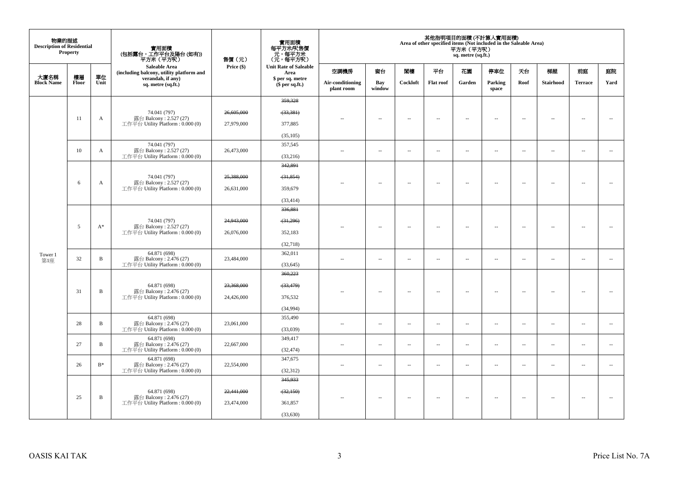| 物業的描述<br><b>Description of Residential</b> | <b>Property</b> |              | 實用面積                                                       | 售價(元)      | 實用面積<br>每平方米/呎售價<br>- 元,每平方米<br>(元,每平方呎) |                                |                          |          |                          | 平方米(平方呎)<br>sq. metre (sq.ft.) | 其他指明項目的面積 (不計算入實用面積)<br>Area of other specified items (Not included in the Saleable Area) |                          |                          |                          |        |
|--------------------------------------------|-----------------|--------------|------------------------------------------------------------|------------|------------------------------------------|--------------------------------|--------------------------|----------|--------------------------|--------------------------------|-------------------------------------------------------------------------------------------|--------------------------|--------------------------|--------------------------|--------|
|                                            |                 |              | Saleable Area<br>(including balcony, utility platform and  | Price (\$) | <b>Unit Rate of Saleable</b><br>Area     | 空調機房                           | 窗台                       | 関樓       | 平台                       | 花園                             | 停車位                                                                                       | 天台                       | 梯屋                       | 前庭                       | 庭院     |
| 大廈名稱<br><b>Block Name</b>                  | 樓層<br>Floor     | 單位<br>Unit   | verandah, if any)<br>sq. metre (sq.ft.)                    |            | \$ per sq. metre<br>$$$ per sq.ft.)      | Air-conditioning<br>plant room | Bay<br>window            | Cockloft | <b>Flat roof</b>         | Garden                         | Parking<br>space                                                                          | Roof                     | <b>Stairhood</b>         | <b>Terrace</b>           | Yard   |
|                                            |                 |              |                                                            |            | 359,328                                  |                                |                          |          |                          |                                |                                                                                           |                          |                          |                          |        |
|                                            |                 |              | 74.041 (797)                                               | 26,605,000 | (33, 381)                                |                                |                          |          |                          |                                |                                                                                           |                          |                          |                          |        |
|                                            | 11              | A            | 露台 Balcony: 2.527 (27)<br>工作平台 Utility Platform: 0.000 (0) | 27,979,000 | 377,885                                  |                                | $\overline{\phantom{a}}$ | $\sim$   | $\sim$                   | $\sim$                         | $\sim$                                                                                    | $\overline{\phantom{a}}$ | $\overline{\phantom{a}}$ | $\ddot{\phantom{a}}$     | $\sim$ |
|                                            |                 |              |                                                            |            | (35, 105)                                |                                |                          |          |                          |                                |                                                                                           |                          |                          |                          |        |
|                                            |                 |              | 74.041 (797)                                               |            | 357,545                                  |                                |                          |          |                          |                                |                                                                                           |                          |                          |                          |        |
|                                            | 10              | $\mathbf{A}$ | 露台 Balcony: 2.527 (27)<br>工作平台 Utility Platform: 0.000 (0) | 26,473,000 | (33,216)                                 | ÷.                             | $\overline{\phantom{a}}$ | $\sim$   | $\sim$                   | $\overline{\phantom{a}}$       | $\sim$                                                                                    | $\overline{\phantom{a}}$ | $\overline{\phantom{a}}$ | $\sim$                   | $\sim$ |
|                                            |                 |              |                                                            |            | 342,891                                  |                                |                          |          |                          |                                |                                                                                           |                          |                          |                          |        |
|                                            |                 |              | 74.041 (797)                                               | 25,388,000 | (31, 854)                                |                                |                          |          |                          |                                |                                                                                           |                          |                          |                          |        |
|                                            | 6               | A            | 露台 Balcony: 2.527 (27)<br>工作平台 Utility Platform: 0.000 (0) | 26,631,000 | 359,679                                  | $-$                            | $\overline{\phantom{a}}$ | $\sim$   | $\overline{\phantom{a}}$ | $\sim$                         | $\sim$                                                                                    | $\overline{\phantom{a}}$ | $\overline{\phantom{a}}$ | $\overline{\phantom{a}}$ | $\sim$ |
|                                            |                 |              |                                                            |            | (33, 414)                                |                                |                          |          |                          |                                |                                                                                           |                          |                          |                          |        |
|                                            |                 |              |                                                            |            | 336,881                                  |                                |                          |          |                          |                                |                                                                                           |                          |                          |                          |        |
|                                            |                 |              | 74.041 (797)                                               | 24,943,000 | $-31,296$                                |                                |                          |          |                          |                                |                                                                                           |                          |                          |                          |        |
|                                            | 5               | $A^*$        | 露台 Balcony: 2.527 (27)<br>工作平台 Utility Platform: 0.000 (0) | 26,076,000 | 352,183                                  |                                | μ.                       | ÷.       | μ.                       | --                             | $\sim$                                                                                    | $\overline{\phantom{a}}$ | Ξ.                       | $\ddot{\phantom{a}}$     |        |
|                                            |                 |              |                                                            |            | (32,718)                                 |                                |                          |          |                          |                                |                                                                                           |                          |                          |                          |        |
| Tower 1                                    | 32              | $\, {\bf B}$ | 64.871 (698)<br>露台 Balcony: 2.476 (27)                     | 23,484,000 | 362,011                                  | $\sim$                         | $\sim$                   | $\sim$   | $\sim$                   | $\overline{a}$                 | $\sim$                                                                                    | $\sim$                   | $\ddot{\phantom{a}}$     | $\ddot{\phantom{a}}$     | $\sim$ |
| 第1座                                        |                 |              | 工作平台 Utility Platform: 0.000 (0)                           |            | (33, 645)                                |                                |                          |          |                          |                                |                                                                                           |                          |                          |                          |        |
|                                            |                 |              |                                                            |            | 360,223                                  |                                |                          |          |                          |                                |                                                                                           |                          |                          |                          |        |
|                                            | 31              | $\, {\bf B}$ | 64.871 (698)<br>露台 Balcony: 2.476 (27)                     | 23,368,000 | (33, 479)                                |                                | $\overline{\phantom{a}}$ | $\sim$   | $\sim$                   | $\sim$                         | $\sim$                                                                                    | $\overline{\phantom{a}}$ | $\sim$                   | $\ddot{\phantom{a}}$     |        |
|                                            |                 |              | 工作平台 Utility Platform: 0.000 (0)                           | 24,426,000 | 376,532                                  |                                |                          |          |                          |                                |                                                                                           |                          |                          |                          |        |
|                                            |                 |              |                                                            |            | (34,994)                                 |                                |                          |          |                          |                                |                                                                                           |                          |                          |                          |        |
|                                            | 28              | $\, {\bf B}$ | 64.871 (698)<br>露台 Balcony: 2.476 (27)                     | 23,061,000 | 355,490                                  | $\ddot{\phantom{a}}$           | $\overline{\phantom{a}}$ | $\sim$   | μ.                       | $\overline{\phantom{a}}$       | $\overline{\phantom{a}}$                                                                  | $\overline{\phantom{a}}$ | $\overline{\phantom{a}}$ | $\ldots$                 | $\sim$ |
|                                            |                 |              | 工作平台 Utility Platform: 0.000 (0)                           |            | (33,039)                                 |                                |                          |          |                          |                                |                                                                                           |                          |                          |                          |        |
|                                            | 27              | $\, {\bf B}$ | 64.871 (698)<br>露台 Balcony: 2.476 (27)                     | 22,667,000 | 349,417                                  | 44                             | $\overline{\phantom{a}}$ | $\sim$   | $\overline{\phantom{a}}$ | $\overline{\phantom{a}}$       | $\sim$                                                                                    | $\sim$                   | $\overline{\phantom{a}}$ | $\overline{\phantom{a}}$ | $\sim$ |
|                                            |                 |              | 工作平台 Utility Platform: 0.000 (0)                           |            | (32, 474)                                |                                |                          |          |                          |                                |                                                                                           |                          |                          |                          |        |
|                                            | 26              | $B^*$        | 64.871 (698)<br>露台 Balcony: 2.476 (27)                     | 22,554,000 | 347,675                                  | ÷.                             | $\overline{\phantom{a}}$ | $\sim$   | $\sim$                   | $\overline{\phantom{a}}$       | $\sim$                                                                                    | $\overline{\phantom{a}}$ | $\overline{\phantom{a}}$ | $\sim$                   | $\sim$ |
|                                            |                 |              | 工作平台 Utility Platform: 0.000 (0)                           |            | (32, 312)<br>345,933                     |                                |                          |          |                          |                                |                                                                                           |                          |                          |                          |        |
|                                            |                 |              |                                                            |            |                                          |                                |                          |          |                          |                                |                                                                                           |                          |                          |                          |        |
|                                            | 25              | $\, {\bf B}$ | 64.871 (698)<br>露台 Balcony: 2.476 (27)                     | 22,441,000 | (32, 150)                                |                                | $\overline{\phantom{a}}$ | $\sim$   | $\sim$                   | $\overline{\phantom{a}}$       | $\sim$                                                                                    | $\overline{\phantom{a}}$ | $\overline{\phantom{a}}$ | $\sim$                   | $\sim$ |
|                                            |                 |              | 工作平台 Utility Platform : $0.000(0)$                         | 23,474,000 | 361,857                                  |                                |                          |          |                          |                                |                                                                                           |                          |                          |                          |        |
|                                            |                 |              |                                                            |            | (33, 630)                                |                                |                          |          |                          |                                |                                                                                           |                          |                          |                          |        |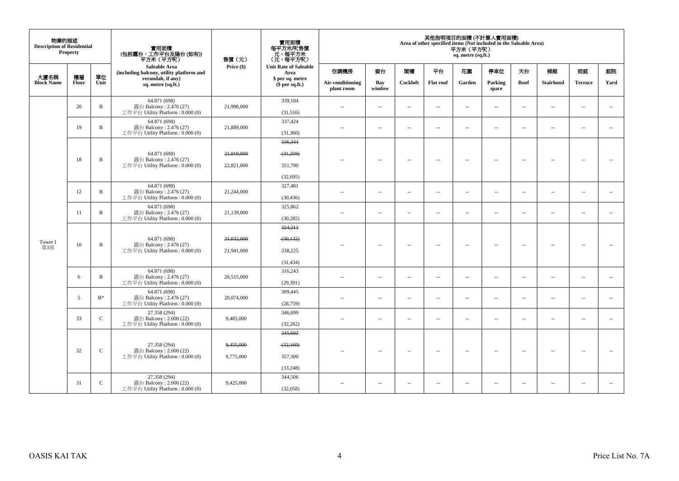| 物業的描述<br><b>Description of Residential</b> | <b>Property</b> |              | 實用面積<br>(包括露台,工作平台及陽台 (如有))<br>平方米(平方呎)                                      | 售價(元)      | 實用面積<br>每平方米/呎售價<br>元,每平方米<br>(元,每平方呎) |                                |                          |                          |                          | 平方米 (平方呎)<br>sq. metre (sq.ft.) | 其他指明項目的面積 (不計算入實用面積)<br>Area of other specified items (Not included in the Saleable Area) |                          |                          |                          |                          |
|--------------------------------------------|-----------------|--------------|------------------------------------------------------------------------------|------------|----------------------------------------|--------------------------------|--------------------------|--------------------------|--------------------------|---------------------------------|-------------------------------------------------------------------------------------------|--------------------------|--------------------------|--------------------------|--------------------------|
|                                            |                 |              | Saleable Area<br>(including balcony, utility platform and                    | Price (\$) | <b>Unit Rate of Saleable</b><br>Area   | 空調機房                           | 窗台                       | 関樓                       | 平台                       | 花園                              | 停車位                                                                                       | 天台                       | 梯屋                       | 前庭                       | 庭院                       |
| 大廈名稱<br><b>Block Name</b>                  | 樓層<br>Floor     | 單位<br>Unit   | verandah, if any)<br>sq. metre (sq.ft.)                                      |            | \$ per sq. metre<br>\$per sq.ft.)      | Air-conditioning<br>plant room | Bay<br>window            | Cockloft                 | <b>Flat roof</b>         | Garden                          | Parking<br>space                                                                          | Roof                     | <b>Stairhood</b>         | <b>Terrace</b>           | Yard                     |
|                                            | 20              | $\mathbf B$  | 64.871 (698)<br>露台 Balcony: 2.476 (27)<br>工作平台 Utility Platform: 0.000 (0)   | 21,998,000 | 339,104<br>(31,516)                    | $\sim$                         | $\sim$                   | $\sim$                   | $\sim$                   | $\overline{a}$                  | $\sim$                                                                                    | $\overline{\phantom{a}}$ | $\sim$                   | $\sim$                   | $\sim$                   |
|                                            | 19              | $\, {\bf B}$ | 64.871 (698)<br>露台 Balcony: 2.476 (27)<br>工作平台 Utility Platform : $0.000(0)$ | 21,889,000 | 337,424<br>(31,360)                    | ٠.                             | $\overline{\phantom{a}}$ | $\sim$                   | $\overline{\phantom{a}}$ | $\overline{\phantom{a}}$        | $\sim$                                                                                    | $\overline{\phantom{a}}$ | $\overline{\phantom{a}}$ | $\overline{\phantom{a}}$ | $\hspace{0.05cm} \ldots$ |
|                                            |                 |              |                                                                              |            | 336,344                                |                                |                          |                          |                          |                                 |                                                                                           |                          |                          |                          |                          |
|                                            |                 |              | 64.871 (698)                                                                 | 21,819,000 | (31,259)                               |                                |                          |                          |                          |                                 |                                                                                           |                          |                          |                          |                          |
|                                            | 18              | $\mathbf B$  | 露台 Balcony: 2.476 (27)<br>工作平台 Utility Platform : 0.000 (0)                  | 22,821,000 | 351,790                                |                                | $\overline{\phantom{a}}$ | $\overline{\phantom{a}}$ | $\overline{\phantom{a}}$ | $\overline{\phantom{a}}$        | $\sim$                                                                                    | $\overline{\phantom{a}}$ | $\overline{\phantom{a}}$ | $\sim$                   | $\sim$                   |
|                                            |                 |              |                                                                              |            | (32,695)                               |                                |                          |                          |                          |                                 |                                                                                           |                          |                          |                          |                          |
|                                            | 12              | $\mathbf B$  | 64.871 (698)<br>露台 Balcony: 2.476 (27)                                       | 21,244,000 | 327,481                                | ÷.                             | ш.                       |                          |                          |                                 |                                                                                           |                          | $\overline{\phantom{a}}$ |                          |                          |
|                                            |                 |              | 工作平台 Utility Platform : 0.000 (0)                                            |            | (30, 436)                              |                                |                          | $\overline{\phantom{a}}$ | $\overline{\phantom{a}}$ | $\overline{\phantom{a}}$        | $\overline{\phantom{a}}$                                                                  | $\overline{\phantom{a}}$ |                          | $\overline{\phantom{a}}$ | $\overline{\phantom{a}}$ |
|                                            | 11              | $\, {\bf B}$ | 64.871 (698)<br>露台 Balcony: 2.476 (27)                                       | 21,139,000 | 325,862                                | $\sim$                         | $\overline{\phantom{a}}$ | $\sim$                   | $\overline{\phantom{a}}$ | $\overline{\phantom{a}}$        | $\sim$                                                                                    | $\overline{\phantom{a}}$ | $\overline{\phantom{a}}$ | $\overline{\phantom{a}}$ | $\overline{\phantom{a}}$ |
|                                            |                 |              | 工作平台 Utility Platform : 0.000 (0)                                            |            | (30, 285)<br>324,213                   |                                |                          |                          |                          |                                 |                                                                                           |                          |                          |                          |                          |
|                                            |                 |              | 64.871 (698)                                                                 | 21,032,000 | (30, 132)                              |                                |                          |                          |                          |                                 |                                                                                           |                          |                          |                          |                          |
| Tower 1<br>第1座                             | 10              | $\, {\bf B}$ | 露台 Balcony: 2.476 (27)<br>工作平台 Utility Platform : 0.000 (0)                  | 21,941,000 | 338,225                                | $\overline{a}$                 | $\sim$                   | $\sim$                   | $\sim$                   | $\sim$                          | $\sim$                                                                                    | $\overline{\phantom{a}}$ | $\sim$                   | $\overline{\phantom{a}}$ | $\sim$                   |
|                                            |                 |              |                                                                              |            | (31, 434)                              |                                |                          |                          |                          |                                 |                                                                                           |                          |                          |                          |                          |
|                                            |                 |              | 64.871 (698)                                                                 |            | 316,243                                |                                |                          |                          |                          |                                 |                                                                                           |                          |                          |                          |                          |
|                                            | 6               | B            | 露台 Balcony: 2.476 (27)<br>工作平台 Utility Platform : 0.000 (0)                  | 20,515,000 | (29, 391)                              | $\overline{a}$                 | ш.                       | $\sim$                   | $\sim$                   | $\overline{\phantom{a}}$        | $\sim$                                                                                    | $\overline{\phantom{a}}$ | $\overline{\phantom{a}}$ | $\sim$                   | $\sim$                   |
|                                            | 5               | $B^*$        | 64.871 (698)<br>露台 Balcony: 2.476 (27)                                       | 20,074,000 | 309,445                                | $\sim$                         | $\overline{a}$           | $\sim$                   | $\sim$                   | $\overline{a}$                  | $\sim$                                                                                    | $\overline{\phantom{a}}$ | $\overline{\phantom{a}}$ | $\sim$                   | $\overline{\phantom{a}}$ |
|                                            |                 |              | 工作平台 Utility Platform: 0.000 (0)                                             |            | (28, 759)                              |                                |                          |                          |                          |                                 |                                                                                           |                          |                          |                          |                          |
|                                            | 33              | $\mathsf{C}$ | 27.358 (294)<br>露台 Balcony: 2.000 (22)                                       | 9,485,000  | 346,699                                | $\sim$                         | $\overline{\phantom{a}}$ | $\overline{\phantom{a}}$ | $\overline{\phantom{a}}$ | ш.                              | $\sim$                                                                                    | $\overline{\phantom{a}}$ | $\overline{\phantom{a}}$ | $\sim$                   | $\overline{\phantom{a}}$ |
|                                            |                 |              | 工作平台 Utility Platform : $0.000(0)$                                           |            | (32, 262)<br>345,603                   |                                |                          |                          |                          |                                 |                                                                                           |                          |                          |                          |                          |
|                                            |                 |              | 27.358 (294)                                                                 | 9,455,000  | (32,160)                               |                                |                          |                          |                          |                                 |                                                                                           |                          |                          |                          |                          |
|                                            | 32              | $\mathsf{C}$ | 露台 Balcony: 2.000 (22)<br>工作平台 Utility Platform : 0.000 (0)                  | 9,775,000  | 357,300                                |                                | $\sim$                   | $\sim$                   | $\sim$                   | $\sim$                          | $\sim$                                                                                    | $\sim$                   | $\sim$                   | <b>A</b>                 | $\sim$                   |
|                                            |                 |              |                                                                              |            | (33, 248)                              |                                |                          |                          |                          |                                 |                                                                                           |                          |                          |                          |                          |
|                                            |                 |              | 27.358 (294)                                                                 |            | 344,506                                |                                |                          |                          |                          |                                 |                                                                                           |                          |                          |                          |                          |
|                                            | 31              | $\mathbf C$  | 露台 Balcony: 2.000 (22)<br>工作平台 Utility Platform : 0.000 (0)                  | 9,425,000  | (32.058)                               | $\overline{a}$                 | $\sim$                   | $\sim$                   | $\sim$                   | $\sim$                          | $\sim$                                                                                    | $\sim$                   | $\sim$                   | $\sim$                   | $\sim$                   |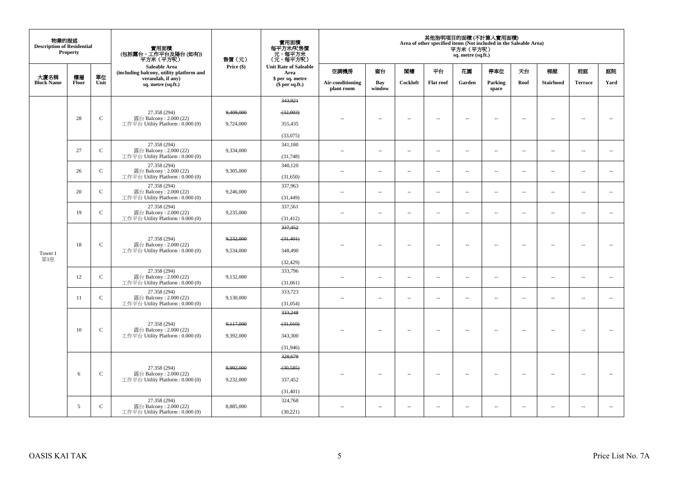| 物業的描述<br><b>Description of Residential</b> | Property    |              | 實用面積<br>(包括露台,工作平台及陽台 (如有))<br>平方米(平方呎)                          | 售價(元)      | 實用面積<br>每平方米/呎售價<br>、元, 每平方米<br>(元, 每平方呎) |                                |                          |                          |                          | 平方米 (平方呎)<br>sq. metre (sq.ft.) | 其他指明項目的面積 (不計算入實用面積)<br>Area of other specified items (Not included in the Saleable Area) |                          |                          |                          |                          |
|--------------------------------------------|-------------|--------------|------------------------------------------------------------------|------------|-------------------------------------------|--------------------------------|--------------------------|--------------------------|--------------------------|---------------------------------|-------------------------------------------------------------------------------------------|--------------------------|--------------------------|--------------------------|--------------------------|
|                                            |             |              | <b>Saleable Area</b><br>(including balcony, utility platform and | Price (\$) | <b>Unit Rate of Saleable</b><br>Area      | 空調機房                           | 窗台                       | 閣樓                       | 平台                       | 花園                              | 停車位                                                                                       | 天台                       | 梯屋                       | 前庭                       | 庭院                       |
| 大廈名稱<br><b>Block Name</b>                  | 樓層<br>Floor | 單位<br>Unit   | verandah, if any)<br>sq. metre (sq.ft.)                          |            | \$ per sq. metre<br>$$$ per sq.ft.)       | Air-conditioning<br>plant room | Bay<br>window            | Cockloft                 | <b>Flat roof</b>         | Garden                          | Parking<br>space                                                                          | Roof                     | <b>Stairhood</b>         | <b>Terrace</b>           | Yard                     |
|                                            |             |              |                                                                  |            | 343,921                                   |                                |                          |                          |                          |                                 |                                                                                           |                          |                          |                          |                          |
|                                            |             |              | 27.358 (294)                                                     | 9,409,000  | (32,003)                                  |                                |                          |                          |                          |                                 |                                                                                           |                          |                          |                          |                          |
|                                            | 28          | $\mathsf{C}$ | 露台 Balcony: 2.000 (22)<br>工作平台 Utility Platform: 0.000 (0)       | 9,724,000  | 355,435                                   | ٠.                             | $\sim$                   | $\sim$                   | $\sim$                   | $\sim$                          | $\sim$                                                                                    | $\sim$                   | $\sim$                   | $\sim$                   | $\sim$                   |
|                                            |             |              |                                                                  |            | (33,075)                                  |                                |                          |                          |                          |                                 |                                                                                           |                          |                          |                          |                          |
|                                            | 27          | $\mathbf C$  | 27.358 (294)<br>露台 Balcony: 2.000 (22)                           | 9,334,000  | 341,180                                   | $\sim$ $-$                     | $\ldots$                 | $\sim$                   | $\ldots$                 | $\ldots$                        | $\sim$                                                                                    | $\overline{\phantom{a}}$ | $\overline{\phantom{a}}$ | $\overline{\phantom{a}}$ | $\overline{\phantom{a}}$ |
|                                            |             |              | 工作平台 Utility Platform: 0.000 (0)                                 |            | (31,748)                                  |                                |                          |                          |                          |                                 |                                                                                           |                          |                          |                          |                          |
|                                            | 26          | $\mathbf{C}$ | 27.358 (294)<br>露台 Balcony: 2.000 (22)                           | 9,305,000  | 340,120                                   | $\sim$                         | $\ldots$                 | $\sim$                   | $\sim$                   | $\ldots$                        | $\sim$                                                                                    | $\overline{\phantom{a}}$ | $\overline{\phantom{a}}$ | $\sim$                   | $\overline{\phantom{a}}$ |
|                                            |             |              | 工作平台 Utility Platform : $0.000(0)$                               |            | (31,650)                                  |                                |                          |                          |                          |                                 |                                                                                           |                          |                          |                          |                          |
|                                            | 20          | $\mathsf{C}$ | 27.358 (294)<br>露台 Balcony: 2.000 (22)                           | 9,246,000  | 337,963                                   | $-$                            | $\overline{\phantom{a}}$ | $\overline{\phantom{a}}$ | $\overline{\phantom{a}}$ | $\overline{\phantom{a}}$        | $\overline{\phantom{a}}$                                                                  | $\overline{\phantom{a}}$ | $\overline{\phantom{a}}$ | $\overline{\phantom{a}}$ | $\sim$                   |
|                                            |             |              | 工作平台 Utility Platform : $0.000(0)$<br>27.358 (294)               |            | (31, 449)<br>337,561                      |                                |                          |                          |                          |                                 |                                                                                           |                          |                          |                          |                          |
|                                            | 19          | $\mathbf C$  | 露台 Balcony: 2.000 (22)<br>工作平台 Utility Platform : $0.000(0)$     | 9,235,000  |                                           | $\sim$                         | ÷.                       | $\ddot{\phantom{a}}$     | $\sim$                   | Ξ.                              | $\sim$                                                                                    | $\overline{\phantom{a}}$ | $\overline{\phantom{a}}$ | $\overline{\phantom{a}}$ | $\overline{\phantom{a}}$ |
|                                            |             |              |                                                                  |            | (31, 412)<br>337,452                      |                                |                          |                          |                          |                                 |                                                                                           |                          |                          |                          |                          |
|                                            |             |              | 27.358 (294)                                                     | 9,232,000  | (31, 401)                                 |                                |                          |                          |                          |                                 |                                                                                           |                          |                          |                          |                          |
|                                            | 18          | $\mathbf C$  | 露台 Balcony: 2.000 (22)<br>工作平台 Utility Platform : $0.000(0)$     | 9,534,000  | 348,490                                   |                                | $\overline{\phantom{a}}$ | $\sim$                   | $\overline{a}$           | $\ldots$                        | $\sim$                                                                                    | $\overline{\phantom{a}}$ | $\overline{\phantom{a}}$ | $\sim$                   | $\overline{\phantom{a}}$ |
| Tower 1<br>第1座                             |             |              |                                                                  |            | (32, 429)                                 |                                |                          |                          |                          |                                 |                                                                                           |                          |                          |                          |                          |
|                                            |             |              | 27.358 (294)                                                     |            | 333,796                                   |                                |                          |                          |                          |                                 |                                                                                           |                          |                          |                          |                          |
|                                            | 12          | $\mathsf{C}$ | 露台 Balcony: 2.000 (22)<br>工作平台 Utility Platform : 0.000 (0)      | 9,132,000  | (31,061)                                  | $\sim$ $-$                     | $\sim$                   | $\sim$                   | $\overline{\phantom{a}}$ | ш.                              | $\overline{\phantom{a}}$                                                                  | $\overline{\phantom{a}}$ | $\overline{\phantom{a}}$ | $\bar{a}$                | $\overline{\phantom{a}}$ |
|                                            |             |              | 27.358 (294)                                                     |            | 333,723                                   |                                |                          |                          |                          |                                 |                                                                                           |                          |                          |                          |                          |
|                                            | 11          | $\mathsf{C}$ | 露台 Balcony: 2.000 (22)<br>工作平台 Utility Platform: 0.000 (0)       | 9,130,000  | (31,054)                                  | $\sim$                         | $\overline{\phantom{a}}$ | $\sim$                   | $\sim$                   | $\overline{\phantom{a}}$        | $\sim$                                                                                    | $\overline{\phantom{a}}$ | $\overline{\phantom{a}}$ | $\sim$                   | $\overline{\phantom{a}}$ |
|                                            |             |              |                                                                  |            | 333,248                                   |                                |                          |                          |                          |                                 |                                                                                           |                          |                          |                          |                          |
|                                            |             |              | 27.358 (294)                                                     | 9,117,000  | $-31,010$                                 |                                |                          |                          |                          |                                 |                                                                                           |                          |                          |                          |                          |
|                                            | 10          | $\mathbf C$  | 露台 Balcony: 2.000 (22)<br>工作平台 Utility Platform : $0.000(0)$     | 9,392,000  | 343,300                                   |                                | $\overline{a}$           | $\sim$                   | $\sim$                   | $\sim$                          | $\sim$                                                                                    | $\sim$                   | $\sim$                   |                          |                          |
|                                            |             |              |                                                                  |            | (31,946)                                  |                                |                          |                          |                          |                                 |                                                                                           |                          |                          |                          |                          |
|                                            |             |              |                                                                  |            | 328,679                                   |                                |                          |                          |                          |                                 |                                                                                           |                          |                          |                          |                          |
|                                            | 6           | $\mathsf{C}$ | 27.358 (294)<br>露台 Balcony: 2.000 (22)                           | 8,992,000  | (30, 585)                                 | $\sim$                         | $\sim$                   | $\sim$                   | $\overline{\phantom{a}}$ | $\overline{\phantom{a}}$        | $\sim$                                                                                    | $\sim$                   | $\overline{\phantom{a}}$ | $\overline{\phantom{a}}$ | $\sim$                   |
|                                            |             |              | 工作平台 Utility Platform : $0.000(0)$                               | 9,232,000  | 337,452                                   |                                |                          |                          |                          |                                 |                                                                                           |                          |                          |                          |                          |
|                                            |             |              |                                                                  |            | (31, 401)                                 |                                |                          |                          |                          |                                 |                                                                                           |                          |                          |                          |                          |
|                                            | 5           | $\mathbf{C}$ | 27.358 (294)<br>露台 Balcony: $2.000(22)$                          | 8,885,000  | 324,768                                   | $-$                            | $\overline{\phantom{a}}$ | $\sim$                   | $\sim$                   | $\overline{a}$                  | $\sim$                                                                                    | $\overline{\phantom{a}}$ | $\overline{\phantom{a}}$ | $\sim$                   |                          |
|                                            |             |              | 工作平台 Utility Platform: 0.000 (0)                                 |            | (30,221)                                  |                                |                          |                          |                          |                                 |                                                                                           |                          |                          |                          |                          |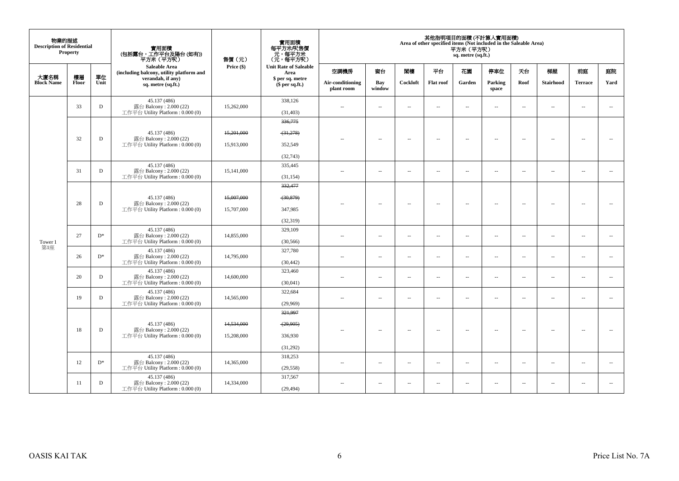| 物業的描述<br><b>Description of Residential</b> | <b>Property</b> |             | 實用面積<br>(包括露台,工作平台及陽台 (如有))<br>平方米(平方呎)                                     | 售價(元)      | 實用面積<br>每平方米/呎售價<br>元,每平方米<br>(元,每平方呎) |                                |                          |                          |                          | 平方米(平方呎)<br>sq. metre (sq.ft.) | 其他指明項目的面積 (不計算入實用面積)<br>Area of other specified items (Not included in the Saleable Area) |                          |                          |                          |                          |
|--------------------------------------------|-----------------|-------------|-----------------------------------------------------------------------------|------------|----------------------------------------|--------------------------------|--------------------------|--------------------------|--------------------------|--------------------------------|-------------------------------------------------------------------------------------------|--------------------------|--------------------------|--------------------------|--------------------------|
|                                            |                 |             | Saleable Area<br>(including balcony, utility platform and                   | Price (\$) | <b>Unit Rate of Saleable</b><br>Area   | 空調機房                           | 窗台                       | 閣樓                       | 平台                       | 花園                             | 停車位                                                                                       | 天台                       | 梯屋                       | 前庭                       | 庭院                       |
| 大廈名稱<br><b>Block Name</b>                  | 樓層<br>Floor     | 單位<br>Unit  | verandah, if any)<br>sq. metre (sq.ft.)                                     |            | \$ per sq. metre<br>\$per sq.ft.)      | Air-conditioning<br>plant room | Bay<br>window            | Cockloft                 | <b>Flat roof</b>         | Garden                         | Parking<br>space                                                                          | Roof                     | <b>Stairhood</b>         | <b>Terrace</b>           | Yard                     |
|                                            | 33              | $\mathbf D$ | 45.137 (486)<br>露台 Balcony: 2.000 (22)<br>工作平台 Utility Platform : 0.000 (0) | 15,262,000 | 338,126<br>(31, 403)                   | $\overline{a}$                 | $\overline{\phantom{a}}$ | $\sim$                   | $\sim$                   | $\overline{\phantom{a}}$       | $\sim$                                                                                    | $\overline{\phantom{a}}$ | $\overline{\phantom{a}}$ | $\sim$                   | $\sim$                   |
|                                            |                 |             |                                                                             |            | 336,775                                |                                |                          |                          |                          |                                |                                                                                           |                          |                          |                          |                          |
|                                            | 32              | $\mathbf D$ | 45.137 (486)                                                                | 15,201,000 | (31, 278)                              |                                |                          | $\sim$                   |                          | $\overline{a}$                 |                                                                                           | $\overline{\phantom{a}}$ |                          |                          | $\sim$                   |
|                                            |                 |             | 露台 Balcony: 2.000 (22)<br>工作平台 Utility Platform: 0.000 (0)                  | 15,913,000 | 352,549                                | $\sim$                         | $\sim$                   |                          | $\sim$                   |                                | $\sim$                                                                                    |                          | $\sim$                   | $\sim$                   |                          |
|                                            |                 |             |                                                                             |            | (32,743)                               |                                |                          |                          |                          |                                |                                                                                           |                          |                          |                          |                          |
|                                            | 31              | D           | 45.137 (486)<br>露台 Balcony: 2.000 (22)                                      | 15,141,000 | 335,445                                | $\sim$ $\sim$                  | μ.                       | $\sim$                   |                          |                                | $\sim$                                                                                    | $\overline{\phantom{a}}$ | $\overline{\phantom{a}}$ | $\overline{\phantom{a}}$ | $\overline{\phantom{a}}$ |
|                                            |                 |             | 工作平台 Utility Platform : $0.000(0)$                                          |            | (31, 154)                              |                                |                          |                          | $\overline{\phantom{a}}$ | $\overline{\phantom{a}}$       |                                                                                           |                          |                          |                          |                          |
|                                            |                 |             |                                                                             |            | 332,477                                |                                |                          |                          |                          |                                |                                                                                           |                          |                          |                          |                          |
|                                            |                 |             | 45.137 (486)                                                                | 15,007,000 | (30, 879)                              |                                |                          |                          |                          |                                |                                                                                           |                          |                          |                          |                          |
|                                            | 28              | $\mathbf D$ | 露台 Balcony: 2.000 (22)<br>工作平台 Utility Platform: 0.000 (0)                  | 15,707,000 | 347,985                                | $\sim$                         | $\overline{a}$           | $\overline{\phantom{a}}$ | $\sim$                   | $\sim$                         | $\sim$                                                                                    | $\sim$                   | $\overline{\phantom{a}}$ | <b>A</b>                 | $\sim$                   |
|                                            |                 |             |                                                                             |            | (32, 319)                              |                                |                          |                          |                          |                                |                                                                                           |                          |                          |                          |                          |
|                                            |                 |             | 45.137 (486)                                                                |            | 329,109                                |                                |                          |                          |                          |                                |                                                                                           |                          |                          |                          |                          |
| Tower 1                                    | 27              | $D^*$       | 露台 Balcony: 2.000 (22)<br>工作平台 Utility Platform : 0.000 (0)                 | 14,855,000 | (30, 566)                              | $\sim$                         | $\overline{a}$           | $\sim$                   | $\sim$                   | $\overline{a}$                 | $\sim$                                                                                    | $\overline{\phantom{a}}$ | $\overline{\phantom{a}}$ | $\sim$                   | $\overline{\phantom{a}}$ |
| 第1座                                        | 26              | $D^*$       | 45.137 (486)<br>露台 Balcony: 2.000 (22)                                      | 14,795,000 | 327,780                                | $\sim$                         | $\overline{\phantom{a}}$ | $\overline{\phantom{a}}$ | $\overline{\phantom{a}}$ | $\overline{\phantom{a}}$       | $\sim$                                                                                    | $\overline{\phantom{a}}$ | $\overline{\phantom{a}}$ | $\overline{\phantom{a}}$ | $\overline{\phantom{a}}$ |
|                                            |                 |             | 工作平台 Utility Platform : $0.000(0)$                                          |            | (30, 442)                              |                                |                          |                          |                          |                                |                                                                                           |                          |                          |                          |                          |
|                                            | 20              | D           | 45.137 (486)<br>露台 Balcony: 2.000 (22)                                      | 14,600,000 | 323,460                                | $\overline{a}$                 | $\overline{\phantom{a}}$ | $\sim$                   | $\sim$                   | $\overline{\phantom{a}}$       | $\sim$                                                                                    | $\overline{\phantom{a}}$ | $\overline{\phantom{a}}$ | $\sim$                   | $\sim$                   |
|                                            |                 |             | 工作平台 Utility Platform: 0.000 (0)                                            |            | (30,041)                               |                                |                          |                          |                          |                                |                                                                                           |                          |                          |                          |                          |
|                                            | 19              | D           | 45.137 (486)<br>露台 Balcony: 2.000 (22)                                      | 14,565,000 | 322,684                                | $\sim$                         | $\overline{\phantom{a}}$ | $\overline{\phantom{a}}$ | $\overline{\phantom{a}}$ | $\overline{\phantom{a}}$       | $\overline{\phantom{a}}$                                                                  | $\overline{\phantom{a}}$ | $\overline{\phantom{a}}$ | $\overline{\phantom{a}}$ | $\overline{\phantom{a}}$ |
|                                            |                 |             | 工作平台 Utility Platform : 0.000 (0)                                           |            | (29,969)                               |                                |                          |                          |                          |                                |                                                                                           |                          |                          |                          |                          |
|                                            |                 |             |                                                                             |            | 321.997                                |                                |                          |                          |                          |                                |                                                                                           |                          |                          |                          |                          |
|                                            | 18              | $\mathbf D$ | 45.137 (486)<br>露台 Balcony: 2.000 (22)                                      | 14,534,000 | (29, 905)                              |                                | --                       | $\sim$                   | $\sim$                   | $\overline{\phantom{a}}$       | $\sim$                                                                                    | $\sim$                   | $\overline{\phantom{a}}$ | $\overline{\phantom{a}}$ | $\sim$                   |
|                                            |                 |             | 工作平台 Utility Platform : $0.000(0)$                                          | 15,208,000 | 336,930                                |                                |                          |                          |                          |                                |                                                                                           |                          |                          |                          |                          |
|                                            |                 |             |                                                                             |            | (31,292)                               |                                |                          |                          |                          |                                |                                                                                           |                          |                          |                          |                          |
|                                            | 12              | $D^*$       | 45.137 (486)<br>露台 Balcony: 2.000 (22)                                      | 14,365,000 | 318,253                                | $\sim$                         | $\overline{\phantom{a}}$ | $\sim$                   | $\sim$                   | $\overline{\phantom{a}}$       | $\sim$                                                                                    | $\overline{\phantom{a}}$ | $\overline{\phantom{a}}$ | $\sim$                   | $\overline{\phantom{a}}$ |
|                                            |                 |             | 工作平台 Utility Platform : $0.000(0)$                                          |            | (29, 558)                              |                                |                          |                          |                          |                                |                                                                                           |                          |                          |                          |                          |
|                                            | 11              | D           | 45.137 (486)<br>露台 Balcony: 2.000 (22)                                      | 14.334,000 | 317,567                                | $\overline{a}$                 | $\sim$                   | $\sim$                   | $\sim$                   | $\sim$                         | $\sim$                                                                                    | $\sim$                   | $\sim$                   | $\sim$                   | $\sim$                   |
|                                            |                 |             | 工作平台 Utility Platform: 0.000 (0)                                            |            | (29.494)                               |                                |                          |                          |                          |                                |                                                                                           |                          |                          |                          |                          |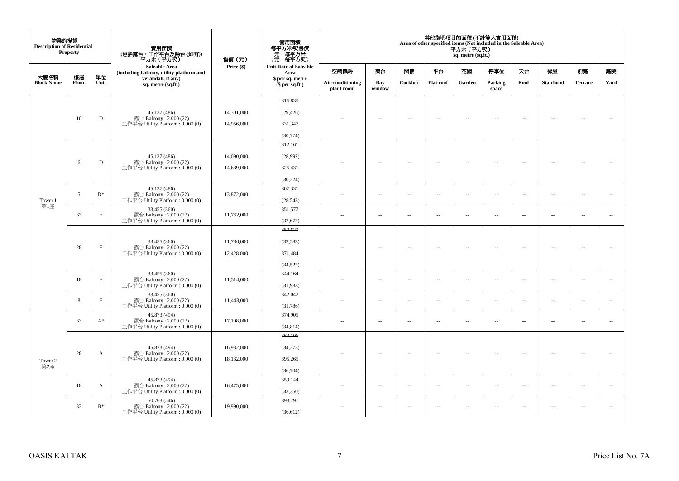| 物業的描述<br><b>Description of Residential</b> | <b>Property</b> |             | 實用面積<br>(包括露台,工作平台及陽台 (如有))<br>平方米(平方呎)                      | 售價(元)      | 實用面積<br>每平方米/呎售價<br>一元,每平方米<br>(元,每平方米) |                                |                          |                          |                          | 平方米 (平方呎)<br>sq. metre (sq.ft.) | 其他指明項目的面積 (不計算入實用面積)<br>Area of other specified items (Not included in the Saleable Area) |                          |                          |                          |                          |
|--------------------------------------------|-----------------|-------------|--------------------------------------------------------------|------------|-----------------------------------------|--------------------------------|--------------------------|--------------------------|--------------------------|---------------------------------|-------------------------------------------------------------------------------------------|--------------------------|--------------------------|--------------------------|--------------------------|
|                                            |                 |             | Saleable Area<br>(including balcony, utility platform and    | Price (\$) | <b>Unit Rate of Saleable</b><br>Area    | 空調機房                           | 窗台                       | 関樓                       | 平台                       | 花園                              | 停車位                                                                                       | 天台                       | 梯屋                       | 前庭                       | 庭院                       |
| 大廈名稱<br><b>Block Name</b>                  | 樓層<br>Floor     | 單位<br>Unit  | verandah, if any)<br>sq. metre (sq.ft.)                      |            | \$ per sq. metre<br>(\$ per sq.ft.)     | Air-conditioning<br>plant room | Bay<br>window            | Cockloft                 | <b>Flat roof</b>         | Garden                          | Parking<br>space                                                                          | Roof                     | <b>Stairhood</b>         | <b>Terrace</b>           | Yard                     |
|                                            |                 |             |                                                              |            | 316,835                                 |                                |                          |                          |                          |                                 |                                                                                           |                          |                          |                          |                          |
|                                            | 10              | D           | 45.137 (486)<br>露台 Balcony: 2.000 (22)                       | 14,301,000 | (29, 426)                               |                                | $\overline{\phantom{a}}$ | $\sim$                   | $\overline{\phantom{a}}$ | $\sim$                          | $\overline{\phantom{a}}$                                                                  | $\overline{\phantom{a}}$ | $\overline{\phantom{a}}$ | $\sim$                   | $\sim$                   |
|                                            |                 |             | 工作平台 Utility Platform: 0.000 (0)                             | 14,956,000 | 331,347                                 |                                |                          |                          |                          |                                 |                                                                                           |                          |                          |                          |                          |
|                                            |                 |             |                                                              |            | (30, 774)                               |                                |                          |                          |                          |                                 |                                                                                           |                          |                          |                          |                          |
|                                            |                 |             |                                                              |            | 312,161                                 |                                |                          |                          |                          |                                 |                                                                                           |                          |                          |                          |                          |
|                                            | 6               | D           | 45.137 (486)<br>露台 Balcony : 2.000 (22)                      | 14,090,000 | (28,992)                                |                                | $\sim$                   | $\overline{\phantom{a}}$ | $\sim$                   | $\sim$                          | $\overline{\phantom{a}}$                                                                  | $\sim$                   | $\sim$                   | $\sim$                   |                          |
|                                            |                 |             | 工作平台 Utility Platform : $0.000(0)$                           | 14,689,000 | 325,431                                 |                                |                          |                          |                          |                                 |                                                                                           |                          |                          |                          |                          |
|                                            |                 |             |                                                              |            | (30, 224)                               |                                |                          |                          |                          |                                 |                                                                                           |                          |                          |                          |                          |
|                                            | 5               | $D^*$       | 45.137 (486)<br>露台 Balcony: 2.000 (22)                       | 13,872,000 | 307,331                                 | $\overline{\phantom{m}}$       | $\overline{\phantom{a}}$ | $\overline{\phantom{a}}$ | $\overline{\phantom{a}}$ | $\sim$                          | $\sim$                                                                                    | $\sim$                   | $\overline{\phantom{a}}$ | $\sim$                   | $\sim$                   |
| Tower 1<br>第1座                             |                 |             | 工作平台 Utility Platform: 0.000 (0)                             |            | (28, 543)                               |                                |                          |                          |                          |                                 |                                                                                           |                          |                          |                          |                          |
|                                            | 33              | $\mathbf E$ | 33.455 (360)<br>露台 Balcony: 2.000 (22)                       | 11,762,000 | 351,577                                 | ۰.                             | $\overline{\phantom{a}}$ | $\sim$                   | $\sim$                   | $\sim$                          | $\sim$                                                                                    | $\overline{\phantom{a}}$ | $\overline{\phantom{a}}$ | $\sim$                   | $\sim$                   |
|                                            |                 |             | 工作平台 Utility Platform: 0.000 (0)                             |            | (32, 672)                               |                                |                          |                          |                          |                                 |                                                                                           |                          |                          |                          |                          |
|                                            |                 |             |                                                              |            | 350,620                                 |                                |                          |                          |                          |                                 |                                                                                           |                          |                          |                          |                          |
|                                            | 28              | $\mathbf E$ | 33.455 (360)<br>露台 Balcony: 2.000 (22)                       | 11,730,000 | (32, 583)                               |                                | $\overline{\phantom{a}}$ | ٠.                       | $\sim$                   | $\overline{\phantom{a}}$        | 4                                                                                         | $\overline{\phantom{a}}$ | $\overline{\phantom{a}}$ | $\ddotsc$                | $\sim$                   |
|                                            |                 |             | 工作平台 Utility Platform : 0.000 (0)                            | 12,428,000 | 371,484                                 |                                |                          |                          |                          |                                 |                                                                                           |                          |                          |                          |                          |
|                                            |                 |             |                                                              |            | (34, 522)                               |                                |                          |                          |                          |                                 |                                                                                           |                          |                          |                          |                          |
|                                            | 18              | $\mathbf E$ | 33.455 (360)<br>露台 Balcony: 2.000 (22)                       | 11,514,000 | 344,164                                 | ٠.                             | $\sim$                   | $\overline{\phantom{a}}$ | $\overline{\phantom{a}}$ | $\sim$                          | $\overline{\phantom{a}}$                                                                  | $\overline{\phantom{a}}$ | $\overline{\phantom{a}}$ | $\overline{\phantom{a}}$ | $\overline{\phantom{a}}$ |
|                                            |                 |             | 工作平台 Utility Platform: 0.000 (0)                             |            | (31,983)                                |                                |                          |                          |                          |                                 |                                                                                           |                          |                          |                          |                          |
|                                            | 8               | E           | 33.455 (360)<br>露台 Balcony: 2.000 (22)                       | 11,443,000 | 342,042                                 | ٠.                             | $\overline{\phantom{a}}$ | $\sim$                   | $\overline{\phantom{a}}$ | $\overline{\phantom{a}}$        | $\sim$                                                                                    | $\sim$                   | $\overline{\phantom{a}}$ | $\overline{\phantom{a}}$ | $\sim$                   |
|                                            |                 |             | 工作平台 Utility Platform: 0.000 (0)<br>45.873 (494)             |            | (31,786)<br>374,905                     |                                |                          |                          |                          |                                 |                                                                                           |                          |                          |                          |                          |
|                                            | 33              | $A^*$       | 露台 Balcony: 2.000 (22)<br>工作平台 Utility Platform: 0.000 (0)   | 17,198,000 | (34, 814)                               | ٠.                             | $\overline{\phantom{a}}$ | $\overline{\phantom{a}}$ | $\overline{\phantom{a}}$ | $\overline{\phantom{a}}$        | $\overline{\phantom{a}}$                                                                  | $\sim$                   | $\overline{\phantom{a}}$ | $\overline{\phantom{a}}$ | $\sim$                   |
|                                            |                 |             |                                                              |            | 369,106                                 |                                |                          |                          |                          |                                 |                                                                                           |                          |                          |                          |                          |
|                                            |                 |             | 45.873 (494)                                                 | 16,932,000 | (34,275)                                |                                |                          |                          |                          |                                 |                                                                                           |                          |                          |                          |                          |
|                                            | 28              | A           | 露台 Balcony: 2.000 (22)<br>工作平台 Utility Platform : $0.000(0)$ | 18,132,000 | 395,265                                 |                                | $\overline{\phantom{a}}$ | $\sim$                   | $\overline{\phantom{a}}$ | $\sim$                          | $\sim$                                                                                    | $\sim$                   | $\overline{\phantom{a}}$ | $\sim$                   | $\sim$                   |
| Tower 2<br>第2座                             |                 |             |                                                              |            | (36,704)                                |                                |                          |                          |                          |                                 |                                                                                           |                          |                          |                          |                          |
|                                            |                 |             | 45.873 (494)                                                 |            | 359,144                                 |                                |                          |                          |                          |                                 |                                                                                           |                          |                          |                          |                          |
|                                            | 18              | A           | 露台 Balcony: 2.000 (22)<br>工作平台 Utility Platform: 0.000 (0)   | 16,475,000 | (33,350)                                | $\sim$                         | $\overline{\phantom{a}}$ | $\sim$                   | $\sim$                   | $\overline{\phantom{a}}$        | $\sim$                                                                                    | $\sim$                   | $\overline{\phantom{a}}$ | $\sim$                   | $\sim$                   |
|                                            |                 |             | 50.763 (546)                                                 |            | 393,791                                 |                                |                          |                          |                          |                                 |                                                                                           |                          |                          |                          |                          |
|                                            | 33              | $B^*$       | 露台 Balcony: 2.000 (22)<br>工作平台 Utility Platform: 0.000 (0)   | 19,990,000 | (36,612)                                | $\sim$                         | $\sim$                   | $\sim$                   | $\sim$                   | $\sim$                          | $\sim$                                                                                    | $\sim$                   | $\sim$                   | $\sim$                   | $\sim$                   |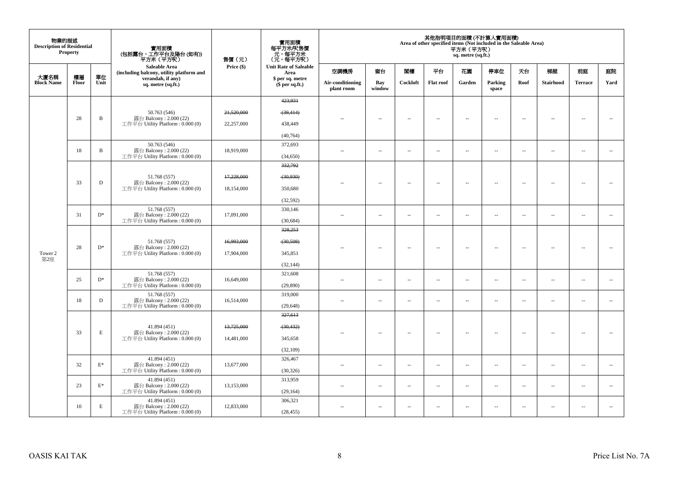| 物業的描述<br><b>Description of Residential</b> | <b>Property</b> |                 | 實用面積                                                       | 售價(元)      | 實用面積<br>每平方米/呎售價<br>- 元, 每平方米<br>(元, 每平方呎) |                                |                          |                          |                          | 平方米 (平方呎)<br>sq. metre (sq.ft.) | 其他指明項目的面積(不計算入實用面積)<br>Area of other specified items (Not included in the Saleable Area) |                          |                          |                          |                          |
|--------------------------------------------|-----------------|-----------------|------------------------------------------------------------|------------|--------------------------------------------|--------------------------------|--------------------------|--------------------------|--------------------------|---------------------------------|------------------------------------------------------------------------------------------|--------------------------|--------------------------|--------------------------|--------------------------|
|                                            |                 |                 | Saleable Area<br>(including balcony, utility platform and  | Price (\$) | <b>Unit Rate of Saleable</b><br>Area       | 空調機房                           | 窗台                       | 閣樓                       | 平台                       | 花園                              | 停車位                                                                                      | 天台                       | 梯屋                       | 前庭                       | 庭院                       |
| 大廈名稱<br><b>Block Name</b>                  | 樓層<br>Floor     | 單位<br>Unit      | verandah, if any)<br>sq. metre (sq.ft.)                    |            | \$ per sq. metre<br>$$$ per sq.ft.)        | Air-conditioning<br>plant room | Bay<br>window            | Cockloft                 | <b>Flat roof</b>         | Garden                          | Parking<br>space                                                                         | Roof                     | <b>Stairhood</b>         | <b>Terrace</b>           | Yard                     |
|                                            |                 |                 |                                                            |            | 423,931                                    |                                |                          |                          |                          |                                 |                                                                                          |                          |                          |                          |                          |
|                                            |                 |                 | 50.763 (546)                                               | 21,520,000 | (39, 414)                                  |                                |                          |                          |                          |                                 |                                                                                          |                          |                          |                          |                          |
|                                            | 28              | $\, {\bf B}$    | 露台 Balcony: 2.000 (22)<br>工作平台 Utility Platform: 0.000 (0) | 22,257,000 | 438,449                                    |                                | $\sim$                   | $\sim$                   | $\sim$                   | $\overline{\phantom{a}}$        | $\sim$                                                                                   | $\overline{\phantom{a}}$ | $\sim$                   | $\sim$                   | $\sim$                   |
|                                            |                 |                 |                                                            |            | (40, 764)                                  |                                |                          |                          |                          |                                 |                                                                                          |                          |                          |                          |                          |
|                                            | 18              | $\, {\bf B}$    | 50.763 (546)<br>露台 Balcony: 2.000 (22)                     | 18,919,000 | 372,693                                    |                                |                          |                          |                          |                                 |                                                                                          |                          |                          |                          |                          |
|                                            |                 |                 | 工作平台 Utility Platform: 0.000 (0)                           |            | (34,650)                                   | ٠.                             | $\ldots$                 | $\overline{\phantom{a}}$ | $\ldots$                 | $\ldots$                        | $\sim$                                                                                   | $\overline{\phantom{a}}$ | $\overline{\phantom{a}}$ | $\overline{\phantom{a}}$ | $\overline{\phantom{a}}$ |
|                                            |                 |                 |                                                            |            | 332,792                                    |                                |                          |                          |                          |                                 |                                                                                          |                          |                          |                          |                          |
|                                            | 33              | $\mathbf D$     | 51.768 (557)<br>露台 Balcony: 2.000 (22)                     | 17,228,000 | (30, 930)                                  |                                | $\overline{\phantom{a}}$ | $\overline{\phantom{a}}$ | $\sim$                   | $\overline{\phantom{a}}$        | $\sim$                                                                                   | $\overline{\phantom{a}}$ | $\overline{\phantom{a}}$ | $\sim$                   | $\sim$                   |
|                                            |                 |                 | 工作平台 Utility Platform : $0.000(0)$                         | 18,154,000 | 350,680                                    |                                |                          |                          |                          |                                 |                                                                                          |                          |                          |                          |                          |
|                                            |                 |                 |                                                            |            | (32, 592)                                  |                                |                          |                          |                          |                                 |                                                                                          |                          |                          |                          |                          |
|                                            | 31              | $D^*$           | 51.768 (557)<br>露台 Balcony: 2.000 (22)                     | 17,091,000 | 330,146                                    | $\sim$ $-$                     | --                       | $\overline{\phantom{a}}$ | $\overline{\phantom{a}}$ | $\overline{\phantom{a}}$        | $\overline{\phantom{a}}$                                                                 | $\overline{\phantom{a}}$ | $\overline{\phantom{a}}$ | $\overline{\phantom{a}}$ | $\overline{\phantom{a}}$ |
|                                            |                 |                 | 工作平台 Utility Platform : 0.000 (0)                          |            | (30, 684)                                  |                                |                          |                          |                          |                                 |                                                                                          |                          |                          |                          |                          |
|                                            |                 |                 |                                                            |            | 328,253                                    |                                |                          |                          |                          |                                 |                                                                                          |                          |                          |                          |                          |
|                                            | 28              | $D^*$           | 51.768 (557)<br>露台 Balcony: 2.000 (22)                     | 16,993,000 | (30,508)                                   |                                | Ξ.                       | $\sim$                   | $\sim$                   | μ.                              | $\sim$                                                                                   | $\sim$                   | $\overline{\phantom{a}}$ |                          | $\sim$                   |
| Tower 2<br>第2座                             |                 |                 | 工作平台 Utility Platform: 0.000 (0)                           | 17,904,000 | 345,851                                    |                                |                          |                          |                          |                                 |                                                                                          |                          |                          |                          |                          |
|                                            |                 |                 |                                                            |            | (32, 144)                                  |                                |                          |                          |                          |                                 |                                                                                          |                          |                          |                          |                          |
|                                            | 25              | $\mathbf{D}^*$  | 51.768 (557)<br>露台 Balcony: 2.000 (22)                     | 16,649,000 | 321,608                                    | ٠.                             | $\overline{\phantom{a}}$ | $\sim$                   | $\sim$                   | $\overline{\phantom{a}}$        | $\sim$                                                                                   | $\overline{\phantom{a}}$ | $\overline{\phantom{a}}$ | $\sim$                   | $\sim$                   |
|                                            |                 |                 | 工作平台 Utility Platform: 0.000 (0)                           |            | (29,890)                                   |                                |                          |                          |                          |                                 |                                                                                          |                          |                          |                          |                          |
|                                            | 18              | $\mathbf D$     | 51.768 (557)<br>露台 Balcony: 2.000 (22)                     | 16,514,000 | 319,000                                    | $\sim$                         | $\overline{\phantom{a}}$ | $\sim$                   | $\overline{\phantom{a}}$ | $\overline{\phantom{a}}$        | $\sim$                                                                                   | $\overline{\phantom{a}}$ | $\overline{\phantom{a}}$ | $\overline{\phantom{a}}$ | $\sim$                   |
|                                            |                 |                 | 工作平台 Utility Platform: 0.000 (0)                           |            | (29, 648)                                  |                                |                          |                          |                          |                                 |                                                                                          |                          |                          |                          |                          |
|                                            |                 |                 |                                                            |            | 327,613                                    |                                |                          |                          |                          |                                 |                                                                                          |                          |                          |                          |                          |
|                                            | 33              | E               | 41.894 (451)<br>露台 Balcony: 2.000 (22)                     | 13,725,000 | (30, 432)                                  | $\overline{a}$                 | $\overline{\phantom{a}}$ | $\sim$                   | $\overline{\phantom{a}}$ | $\overline{\phantom{a}}$        | $\sim$                                                                                   | $\overline{\phantom{a}}$ | $\overline{\phantom{a}}$ | $\overline{\phantom{a}}$ | $\sim$                   |
|                                            |                 |                 | 工作平台 Utility Platform : 0.000 (0)                          | 14,481,000 | 345,658                                    |                                |                          |                          |                          |                                 |                                                                                          |                          |                          |                          |                          |
|                                            |                 |                 |                                                            |            | (32,109)                                   |                                |                          |                          |                          |                                 |                                                                                          |                          |                          |                          |                          |
|                                            | 32              | $\mathcal{E}^*$ | 41.894(451)<br>露台 Balcony: 2.000 (22)                      | 13,677,000 | 326,467                                    | $\sim$                         | $\sim$                   | $\sim$                   | $\sim$                   | $\overline{a}$                  | $\sim$                                                                                   | $\ddotsc$                | $\sim$                   | $\sim$                   | $\sim$                   |
|                                            |                 |                 | 工作平台 Utility Platform: 0.000 (0)                           |            | (30, 326)                                  |                                |                          |                          |                          |                                 |                                                                                          |                          |                          |                          |                          |
|                                            | 23              | $\mathcal{E}^*$ | 41.894 (451)<br>露台 Balcony: 2.000 (22)                     | 13,153,000 | 313,959                                    | $\sim$ $-$                     | $\overline{\phantom{a}}$ | $\sim$                   | $\overline{\phantom{a}}$ | $\overline{\phantom{a}}$        | $\sim$                                                                                   | $\overline{\phantom{a}}$ | $\overline{\phantom{a}}$ | $\overline{\phantom{a}}$ | $\overline{\phantom{a}}$ |
|                                            |                 |                 | 工作平台 Utility Platform : 0.000 (0)                          |            | (29, 164)                                  |                                |                          |                          |                          |                                 |                                                                                          |                          |                          |                          |                          |
|                                            | 10              | $\mathbf E$     | 41.894 (451)<br>露台 Balcony: 2.000 (22)                     | 12.833,000 | 306,321                                    | $\sim$                         | $\overline{\phantom{a}}$ | $\overline{\phantom{a}}$ | $\overline{\phantom{a}}$ | $\overline{a}$                  | $\sim$                                                                                   | $\overline{\phantom{a}}$ | $\overline{\phantom{a}}$ | $\sim$                   | $\sim$                   |
|                                            |                 |                 | 工作平台 Utility Platform : $0.000(0)$                         |            | (28, 455)                                  |                                |                          |                          |                          |                                 |                                                                                          |                          |                          |                          |                          |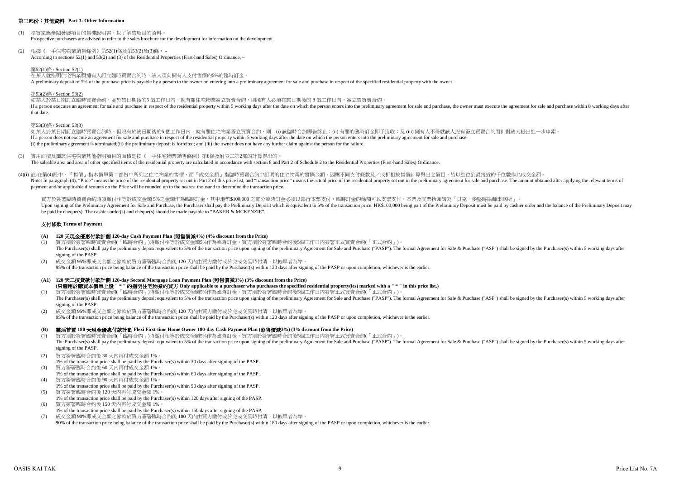#### 第三部份:其他資料 **Part 3: Other Information**

- (1) 準買家應參閱發展項目的售樓說明書,以了解該項目的資料。 Prospective purchasers are advised to refer to the sales brochure for the development for information on the development.
- (2) 根據《一手住宅物業銷售條例》第52(1)條及第53(2)及(3)條, According to sections 52(1) and 53(2) and (3) of the Residential Properties (First-hand Sales) Ordinance, –

在某人就指明住宅物業與擁有人訂立臨時買賣合約時,該人須向擁有人支付售價的5%的臨時訂金。 A preliminary deposit of 5% of the purchase price is payable by a person to the owner on entering into a preliminary agreement for sale and purchase in respect of the specified residential property with the owner.

#### 第52(1)條 / Section 52(1)

如某人於某日期訂立臨時買賣合約時,但沒有於該日期後的5 個工作日内,就有關住宅物業簽立買賣合約,則 – (i) 該臨時合約即告終止;(ii) 有關的臨時訂金即予沒收;及 (iii) 擁有人不得就該人沒有簽立買賣合約而針對該人提出進一步申索。 If a person does not execute an agreement for sale and purchase in respect of the residential property within 5 working days after the date on which the person enters into the preliminary agreement for sale and purchase-(i) the preliminary agreement is terminated;(ii) the preliminary deposit is forfeited; and (iii) the owner does not have any further claim against the person for the failure.

#### 第53(2)條 / Section 53(2)

#### 第53(3)條 / Section 53(3)

#### 支付條款 **Terms of Payment**

如某人於某日期訂立臨時買賣合約,並於該日期後的5 個工作日內,就有關住宅物業簽立買賣合約,則擁有人必須在該日期後的 8 個工作日內,簽立該買賣合約。 If a person executes an agreement for sale and purchase in respect of the residential property within 5 working days after the date on which the person enters into the preliminary agreement for sale and purchase, the owner that date.

- **(A) 120** 天現金優惠付款計劃 **120-day Cash Payment Plan (**照售價減**4%) (4% discount from the Price)**
- (1) 買方須於簽署臨時買賣合約(「臨時合約」)時繳付相等於成交金額5%作為臨時訂金。買方須於簽署臨時合約後5個工作日內簽署正式買賣合約(「正式合約」)。 The Purchaser(s) shall pay the preliminary deposit equivalent to 5% of the transaction price upon signing of the preliminary Agreement for Sale and Purchase ("PASP"). The formal Agreement for Sale & Purchase ("ASP") shall signing of the PASP.
- (2) 成交金額 95%即成交金額之餘款於買方簽署臨時合約後 120 天內由買方繳付或於完成交易時付清,以較早者為準。 95% of the transaction price being balance of the transaction price shall be paid by the Purchaser(s) within 120 days after signing of the PASP or upon completion, whichever is the earlier.
- **(A1) 120** 天二按貸款付款計劃 **120-day Second Mortgage Loan Payment Plan (**照售價減**3%) (3% discount from the Price) (**只適用於購買本價單上設 **" \* "** 的指明住宅物業的買方 **Only applicable to a purchaser who purchases the specified residential property(ies) marked with a " \* " in this price list.)**
- (1) 買方須於簽署臨時買賣合約(「臨時合約」)時繳付相等於成交金額5%作為臨時訂金。買方須於簽署臨時合約後5個工作日內簽署正式買賣合約(「正式合約」)。 The Purchaser(s) shall pay the preliminary deposit equivalent to 5% of the transaction price upon signing of the preliminary Agreement for Sale and Purchase ("PASP"). The formal Agreement for Sale & Purchase ("ASP") shall signing of the PASP.
- (2) 成交金額 95%即成交金額之餘款於買方簽署臨時合約後 120 天內由買方繳付或於完成交易時付清,以較早者為準。 95% of the transaction price being balance of the transaction price shall be paid by the Purchaser(s) within 120 days after signing of the PASP or upon completion, whichever is the earlier.

買方於簽署臨時買賣合約時須繳付相等於成交金額 5%之金額作為臨時訂金,其中港幣\$100,000 之部分臨時訂金必須以銀行本票支付,臨時訂金的餘額可以支票支付,本票及支票抬頭請寫「貝克·麥堅時律師事務所」。 Upon signing of the Preliminary Agreement for Sale and Purchase, the Purchaser shall pay the Preliminary Deposit which is equivalent to 5% of the transaction price. HK\$100,000 being part of the Preliminary Deposit must be be paid by cheque(s). The cashier order(s) and cheque(s) should be made payable to "BAKER & MCKENZIE".

### **(B)** 靈活首置 **180** 天現金優惠付款計劃 **Flexi First-time Home Owner 180-day Cash Payment Plan (**照售價減**3%) (3% discount from the Price)**

- (3) 實用面積及屬該住宅物業其他指明項目的面積是按《一手住宅物業銷售條例》第8條及附表二第2部的計算得出的。 The saleable area and area of other specified items of the residential property are calculated in accordance with section 8 and Part 2 of Schedule 2 to the Residential Properties (First-hand Sales) Ordinance.
- (4)(i) 註:在第(4)段中,『售價』指本價單第二部份中所列之住宅物業的售價,而『成交金額』指臨時買賣合約中訂明的住宅物業的實際金額。因應不同支付條款及/或折扣按售價計算得出之價目,皆以進位到最接近的千位數作為成交金額 Note: In paragraph (4), "Price" means the price of the residential property set out in Part 2 of this price list, and "transaction price" means the actual price of the residential property set out in the preliminary agreem payment and/or applicable discounts on the Price will be rounded up to the nearest thousand to determine the transaction price.

- (1) 買方須於簽署臨時買賣合約(「臨時合約」)時繳付相等於成交金額5%作為臨時訂金。買方須於簽署臨時合約後5個工作日內簽署正式買賣合約(「正式合約」)。 The Purchaser(s) shall pay the preliminary deposit equivalent to 5% of the transaction price upon signing of the preliminary Agreement for Sale and Purchase ("PASP"). The formal Agreement for Sale & Purchase ("ASP") shall signing of the PASP.
- (2) 買方簽署臨時合約後 30 天內再付成交金額 1%。
- 1% of the transaction price shall be paid by the Purchaser(s) within 30 days after signing of the PASP. (3) 買方簽署臨時合約後 60 天內再付成交金額 1%。
- 1% of the transaction price shall be paid by the Purchaser(s) within 60 days after signing of the PASP. (4) 買方簽署臨時合約後 90 天內再付成交金額 1%。
- 1% of the transaction price shall be paid by the Purchaser(s) within 90 days after signing of the PASP. (5) 買方簽署臨時合約後 120 天內再付成交金額 1%。
- 1% of the transaction price shall be paid by the Purchaser(s) within 120 days after signing of the PASP.
- (6) 買方簽署臨時合約後 150 天內再付成交金額 1%。
- 1% of the transaction price shall be paid by the Purchaser(s) within 150 days after signing of the PASP.
- (7) 成交金額 90%即成交金額之餘款於買方簽署臨時合約後 180 天內由買方繳付或於完成交易時付清,以較早者為準。 90% of the transaction price being balance of the transaction price shall be paid by the Purchaser(s) within 180 days after signing of the PASP or upon completion, whichever is the earlier.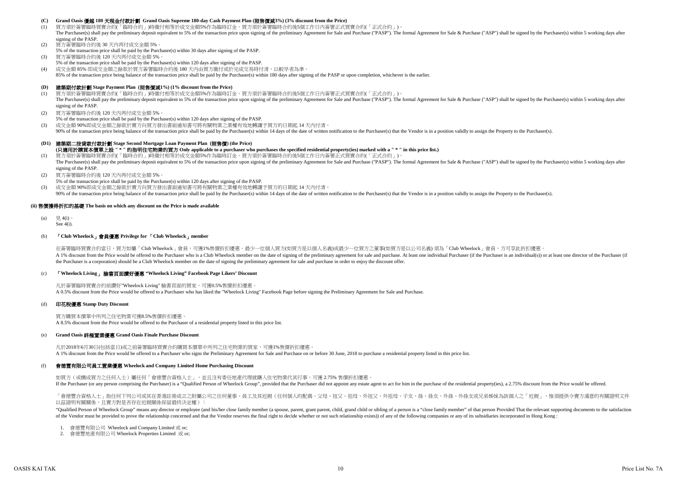#### **(C) Grand Oasis** 優越 **180** 天現金付款計劃 **Grand Oasis Supreme 180-day Cash Payment Plan (**照售價減**3%) (3% discount from the Price)**

- (1) 買方須於簽署臨時買賣合約(「臨時合約」)時繳付相等於成交金額5%作為臨時訂金。買方須於簽署臨時合約後5個工作日內簽署正式買賣合約(「正式合約」)。 The Purchaser(s) shall pay the preliminary deposit equivalent to 5% of the transaction price upon signing of the preliminary Agreement for Sale and Purchase ("PASP"). The formal Agreement for Sale & Purchase ("ASP") shall signing of the PASP.
- (2) 買方簽署臨時合約後 30 天內再付成交金額 5%。
- 5% of the transaction price shall be paid by the Purchaser(s) within 30 days after signing of the PASP.
- (3) 買方簽署臨時合約後 120 天內再付成交金額 5%。
- 5% of the transaction price shall be paid by the Purchaser(s) within 120 days after signing of the PASP.

- (1) 買方須於簽署臨時買賣合約(「臨時合約」)時繳付相等於成交金額5%作為臨時訂金。買方須於簽署臨時合約後5個工作日內簽署正式買賣合約(「正式合約」)。 The Purchaser(s) shall pay the preliminary deposit equivalent to 5% of the transaction price upon signing of the preliminary Agreement for Sale and Purchase ("PASP"). The formal Agreement for Sale & Purchase ("ASP") shall signing of the PASP.
- (2) 買方簽署臨時合約後 120 天內再付成交金額 5%。
- 5% of the transaction price shall be paid by the Purchaser(s) within 120 days after signing of the PASP.
- (3) 成交金額 90%即成交金額之餘款於賣方向買方發出書面通知書可將有關物業之業權有效地轉讓予買方的日期起 14 天內付清。 90% of the transaction price being balance of the transaction price shall be paid by the Purchaser(s) within 14 days of the date of written notification to the Purchaser(s) that the Vendor is in a position validly to assig

(4) 成交金額 85% 即成交金額之餘款於買方簽署臨時合約後 180 天內由買方繳付或於完成交易時付清,以較早者為準。

85% of the transaction price being balance of the transaction price shall be paid by the Purchaser(s) within 180 days after signing of the PASP or upon completion, whichever is the earlier.

### **(D)** 建築期付款計劃 **Stage Payment Plan (**照售價減**1%) (1% discount from the Price)**

(a) 見 4(i)。 See 4(i).

## **(D1)** 建築期二按貸款付款計劃 **Stage Second Mortgage Loan Payment Plan (**照售價**) (the Price)**

- (1) 買方須於簽署臨時買賣合約(「臨時合約」)時繳付相等於成交金額5%作為臨時訂金。買方須於簽署臨時合約後5個工作日內簽署正式買賣合約(「正式合約」)。 **(**只適用於購買本價單上設 **" \* "** 的指明住宅物業的買方 **Only applicable to a purchaser who purchases the specified residential property(ies) marked with a " \* " in this price list.)** The Purchaser(s) shall pay the preliminary deposit equivalent to 5% of the transaction price upon signing of the preliminary Agreement for Sale and Purchase ("PASP"). The formal Agreement for Sale & Purchase ("ASP") shall signing of the PASP.
- (2) 買方簽署臨時合約後 120 天內再付成交金額 5%。
- 5% of the transaction price shall be paid by the Purchaser(s) within 120 days after signing of the PASP.
- (3) 成交金額 90%即成交金額之餘款於賣方向買方發出書面通知書可將有關物業之業權有效地轉讓予買方的日期起 14 天內付清。
- 

#### **(ii)** 售價獲得折扣的基礎 **The basis on which any discount on the Price is made available**

#### (b) 「**Club Wheelock**」會員優惠 **Privilege for** 「**Club Wheelock**」**member**

A 1% discount from the Price would be offered to the Purchaser who is a Club Wheelock member on the date of signing of the preliminary agreement for sale and purchase. At least one individual Purchaser (if the Purchaser is the Purchaser is a corporation) should be a Club Wheelock member on the date of signing the preliminary agreement for sale and purchase in order to enjoy the discount offer. 在簽署臨時買賣合約當日,買方如屬「Club Wheelock」會員,可獲1%售價折扣優惠。最少一位個人買方(如買方是以個人名義)或最少一位買方之董事(如買方是以公司名義) 須為「Club Wheelock」會員,方可享此折扣優惠

#### (c) 「**Wheelock Living**」 臉書頁面讚好優惠 **"Wheelock Living" Facebook Page Likers' Discount**

### (d) 印花稅優惠 **Stamp Duty Discount**

#### (e) **Grand Oasis** 終極置業優惠 **Grand Oasis Finale Purchase Discount**

凡於2018年6月30日(包括當日)或之前簽署臨時買賣合約購買本價單中所列之住宅物業的買家,可獲1%售價折扣優惠。 A 1% discount from the Price would be offered to a Purchaser who signs the Preliminary Agreement for Sale and Purchase on or before 30 June, 2018 to purchase a residential property listed in this price list.

- 1. 會德豐有限公司 Wheelock and Company Limited 或 or;
- 2. 會德豐地產有限公司 Wheelock Properties Limited 或 or;

90% of the transaction price being balance of the transaction price shall be paid by the Purchaser(s) within 14 days of the date of written notification to the Purchaser(s) that the Vendor is in a position validly to assig

#### (f) 會德豐有限公司員工置業優惠 **Wheelock and Company Limited Home Purchasing Discount**

如買方(或構成買方之任何人士)屬任何「會德豐合資格人士」,並且沒有委任地產代理就購入住宅物業代其行事,可獲 2.75% 售價折扣優惠。 If the Purchaser (or any person comprising the Purchaser) is a "Qualified Person of Wheelock Group", provided that the Purchaser did not appoint any estate agent to act for him in the purchase of the residential property(i

「會德豐合資格人士」指任何下列公司或其在香港註冊成立之附屬公司之任何董事、員工及其近親(任何個人的配偶、父母、祖父、祖母、外祖父、外祖母、子女、孫、孫女、外孫、外孫女或兄弟姊妹為該個人之「近親」,惟須提供令賣方滿意的有關證明文件 以茲證明有關關係,且賣方對是否存在近親關係保留最終決定權):

"Qualified Person of Wheelock Group" means any director or employee (and his/her close family member (a spouse, parent, grant parent, child, grand child or sibling of a person is a "close family member" of that person Prov of the Vendor must be provided to prove the relationship concerned and that the Vendor reserves the final right to decide whether or not such relationship exists)) of any of the following companies or any of its subsidiari

凡於簽署臨時買賣合約前讚好"Wheelock Living" 臉書頁面的買家,可獲0.5%售價折扣優惠。 A 0.5% discount from the Price would be offered to a Purchaser who has liked the "Wheelock Living" Facebook Page before signing the Preliminary Agreement for Sale and Purchase.

買方購買本價單中所列之住宅物業可獲8.5%售價折扣優惠。 A 8.5% discount from the Price would be offered to the Purchaser of a residential property listed in this price list.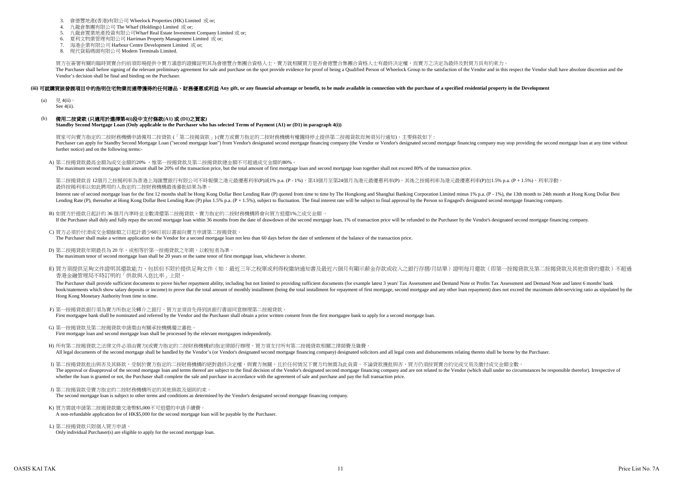#### **(iii)** 可就購買該發展項目中的指明住宅物業而連帶獲得的任何贈品、財務優惠或利益 **Any gift, or any financial advantage or benefit, to be made available in connection with the purchase of a specified residential property in the Development**

- (a)  $= 4$ (ii)。 See 4(ii).
- (b) 備用二按貸款 **(**只適用於選擇第**4(i)**段中支付條款**(A1)** 或 **(D1)**之買家**) Standby Second Mortgage Loan (Only applicable to the Purchaser who has selected Terms of Payment (A1) or (D1) in paragraph 4(i))**

A) 第二按揭貸款最高金額為成交金額的20%, 惟第一按揭貸款及第二按揭貸款總金額不可超過成交金額的80% The maximum second mortgage loan amount shall be 20% of the transaction price, but the total amount of first mortgage loan and second mortgage loan together shall not exceed 80% of the transaction price.

第二按揭貸款首 12個月之按揭利率為香港上海匯豐銀行有限公司不時報價之港元最優惠利率(P)減1% p.a. (P-1%),第13個月至第24個月為港元最優惠利率(P),其後之按揭利率為港元最優惠利率(P)加1.5% p.a. (P + 1.5%),利率浮動 最終按揭利率以如此聘用的人指定的二按財務機構最後審批結果為準。

Interest rate of second mortgage loan for the first 12 months shall be Hong Kong Dollar Best Lending Rate (P) quoted from time to time by The Hongkong and Shanghai Banking Corporation Limited minus 1% p.a. (P - 1%), the 13 Lending Rate (P), thereafter at Hong Kong Dollar Best Lending Rate (P) plus 1.5% p.a.  $(P + 1.5\%)$ , subject to fluctuation. The final interest rate will be subject to final approval by the Person so Engaged's designated sec

- F) 第一按揭貸款銀行須為賣方所指定及轉介之銀行,買方並須首先得到該銀行書面同意辦理第二按揭貸款。 First mortgagee bank shall be nominated and referred by the Vendor and the Purchaser shall obtain a prior written consent from the first mortgagee bank to apply for a second mortgage loan.
- G) 第一按揭貸款及第二按揭貸款申請需由有關承按機構獨立審批。 First mortgage loan and second mortgage loan shall be processed by the relevant mortgagees independently.
- H) 所有第二按揭貸款之法律文件必須由賣方(或賣方指定的二按財務機構)的指定律師行辦理,買方須支付所有第二按揭貸款相關之律師費及雜費。 All legal documents of the second mortgage shall be handled by the Vendor's (or Vendor's designated second mortgage financing company) designated solicitors and all legal costs and disbursements relating thereto shall be b
- I) 第二按揭貸款批出與否及其條款,受制於賣方指定的二按財務機構的絕對最終決定權,與賣方無關,且於任何情況下賣方均無需為此負責。不論貸款獲批與否,買方仍須按買賣合約完成交易及繳付成交金額全數。 The approval or disapproval of the second mortgage loan and terms thereof are subject to the final decision of the Vendor's designated second mortgage financing company and are not related to the Vendor (which shall under whether the loan is granted or not, the Purchaser shall complete the sale and purchase in accordance with the agreement of sale and purchase and pay the full transaction price.
- J) 第二按揭貨款受賣方指定的二按財務機構所定的其他條款及細則約束。 The second mortgage loan is subject to other terms and conditions as determined by the Vendor's designated second mortgage financing company.
- K) 買方需就申請第二按揭貸款繳交港幣\$5,000不可退還的申請手續費 A non-refundable application fee of HK\$5,000 for the second mortgage loan will be payable by the Purchaser.
- L) 第二按揭貸款只限個人買方申請。 Only individual Purchaser(s) are eligible to apply for the second mortgage loan.

- B) 如買方於提款日起計的 36 個月內準時並全數清還第二按揭貸款,賣方指定的二按財務機構將會向買方退還1%之成交金額 。 If the Purchaser shall duly and fully repay the second mortgage loan within 36 months from the date of drawdown of the second mortgage loan, 1% of transaction price will be refunded to the Purchaser by the Vendor's designa
- C) 買方必須於付清成交金額餘額之日起計最少60日前以書面向賣方申請第二按揭貸款。 The Purchaser shall make a written application to the Vendor for a second mortgage loan not less than 60 days before the date of settlement of the balance of the transaction price.
- D) 第二按揭貸款年期最長為 20 年,或相等於第一按揭貸款之年期,以較短者為準。 The maximum tenor of second mortgage loan shall be 20 years or the same tenor of first mortgage loan, whichever is shorter.
- E) 買方須提供足夠文件證明其還款能力,包括但不限於提供足夠文件(如:最近三年之稅單或利得稅繳納通知書及最近六個月有顯示薪金存款或收入之銀行存摺/月結單)證明每月還款(即第一按揭貸款及第二按揭貸款及其他借貸的還款)不超過 香港金融管理局不時訂明的「供款與入息比率」上限。

The Purchaser shall provide sufficient documents to prove his/her repayment ability, including but not limited to providing sufficient documents (for example latest 3 years' Tax Assessment and Demand Note or Profits Tax As book/statements which show salary deposits or income) to prove that the total amount of monthly installment (being the total installment for repayment of first mortgage, second mortgage and any other loan repayment) does n Hong Kong Monetary Authority from time to time.

- 3. 會德豐地產(香港)有限公司 Wheelock Properties (HK) Limited 或 or;
- 4. 九龍倉集團有限公司 The Wharf (Holdings) Limited 或 or;
- 5. 九龍倉置業地產投資有限公司Wharf Real Estate Investment Company Limited 或 or;
- 6. 夏利文物業管理有限公司 Harriman Property Management Limited 或 or;
- 7. 海港企業有限公司 Harbour Centre Development Limited 或 or;
- 8. 現代貨箱碼頭有限公司 Modern Terminals Limited.

買方在簽署有關的臨時買賣合約前須即場提供令賣方滿意的證據証明其為會德豐合集團合資格人士,賣方就相關買方是否會德豐合集團合資格人士有最終決定權,而賣方之決定為最終及對買方具有約束力。 The Purchaser shall before signing of the relevant preliminary agreement for sale and purchase on the spot provide evidence for proof of being a Qualified Person of Wheelock Group to the satisfaction of the Vendor and in t Vendor's decision shall be final and binding on the Purchaser.

買家可向賣方指定的二按財務機構申請備用二按貸款 (「第二按揭貨款」) (賣方或賣方指定的二按財務機構有權隨時停止提供第二按揭貨款而無須另行通知),主要條款如下 : Purchaser can apply for Standby Second Mortgage Loan ("second mortgage loan") from Vendor's designated second mortgage financing company (the Vendor or Vendor's designated second mortgage financing company may stop providi further notice) and on the following terms:-